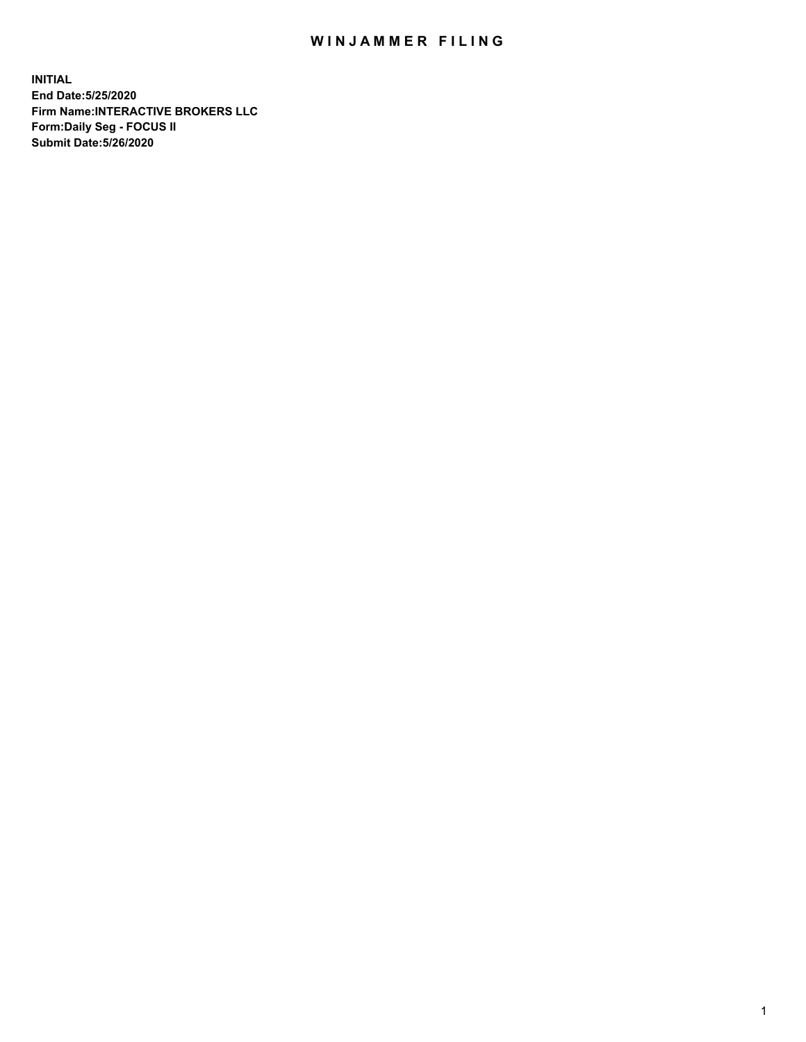## WIN JAMMER FILING

**INITIAL End Date:5/25/2020 Firm Name:INTERACTIVE BROKERS LLC Form:Daily Seg - FOCUS II Submit Date:5/26/2020**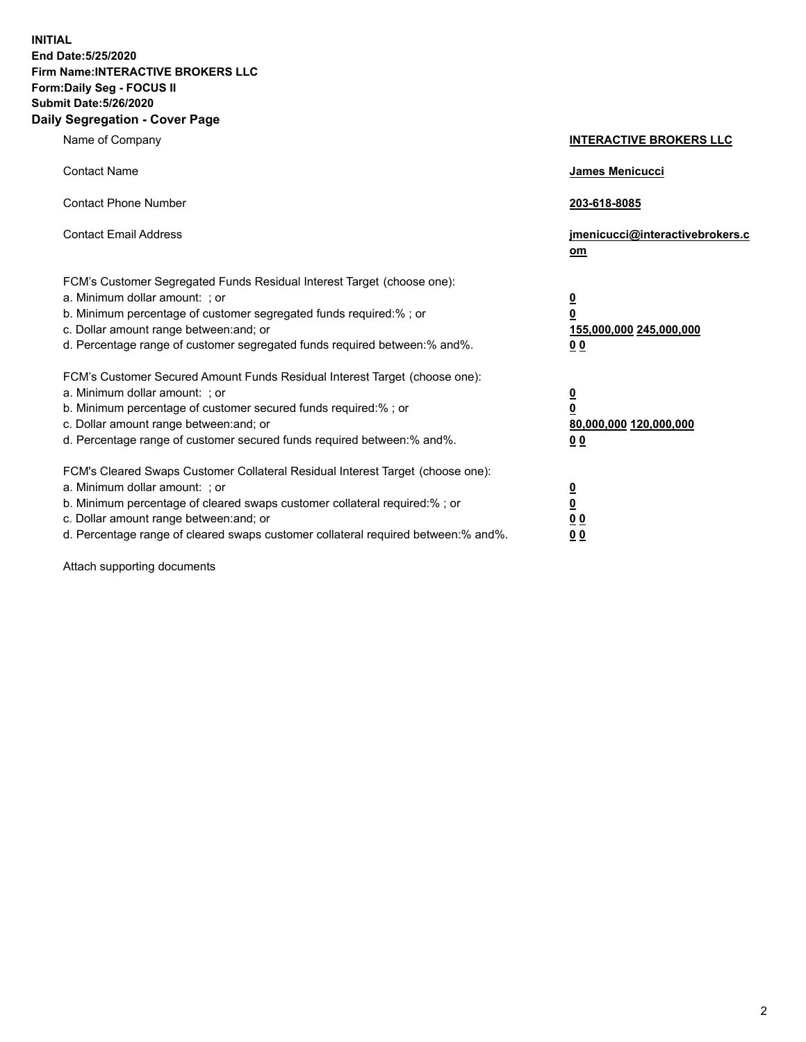**INITIAL End Date:5/25/2020 Firm Name:INTERACTIVE BROKERS LLC Form:Daily Seg - FOCUS II Submit Date:5/26/2020 Daily Segregation - Cover Page**

| Name of Company                                                                                                                                                                                                                                                                                                               | <b>INTERACTIVE BROKERS LLC</b>                                                   |
|-------------------------------------------------------------------------------------------------------------------------------------------------------------------------------------------------------------------------------------------------------------------------------------------------------------------------------|----------------------------------------------------------------------------------|
| <b>Contact Name</b>                                                                                                                                                                                                                                                                                                           | James Menicucci                                                                  |
| <b>Contact Phone Number</b>                                                                                                                                                                                                                                                                                                   | 203-618-8085                                                                     |
| <b>Contact Email Address</b>                                                                                                                                                                                                                                                                                                  | jmenicucci@interactivebrokers.c<br>om                                            |
| FCM's Customer Segregated Funds Residual Interest Target (choose one):<br>a. Minimum dollar amount: ; or<br>b. Minimum percentage of customer segregated funds required:% ; or<br>c. Dollar amount range between: and; or<br>d. Percentage range of customer segregated funds required between:% and%.                        | <u>0</u><br>$\overline{\mathbf{0}}$<br>155,000,000 245,000,000<br>0 <sub>0</sub> |
| FCM's Customer Secured Amount Funds Residual Interest Target (choose one):<br>a. Minimum dollar amount: ; or<br>b. Minimum percentage of customer secured funds required:%; or<br>c. Dollar amount range between: and; or<br>d. Percentage range of customer secured funds required between:% and%.                           | <u>0</u><br>$\overline{\mathbf{0}}$<br>80,000,000 120,000,000<br>0 <sub>0</sub>  |
| FCM's Cleared Swaps Customer Collateral Residual Interest Target (choose one):<br>a. Minimum dollar amount: ; or<br>b. Minimum percentage of cleared swaps customer collateral required:%; or<br>c. Dollar amount range between: and; or<br>d. Percentage range of cleared swaps customer collateral required between:% and%. | <u>0</u><br>$\underline{\mathbf{0}}$<br>0 <sub>0</sub><br>0 <sub>0</sub>         |

Attach supporting documents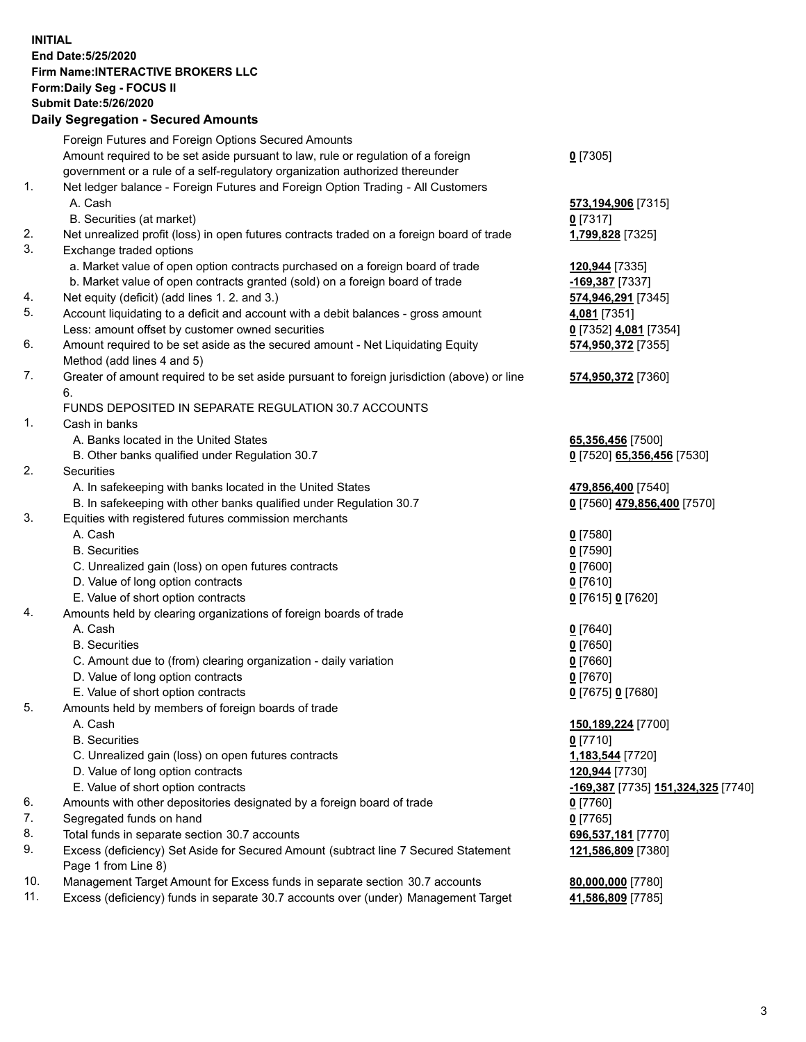**INITIAL End Date:5/25/2020 Firm Name:INTERACTIVE BROKERS LLC Form:Daily Seg - FOCUS II Submit Date:5/26/2020 Daily Segregation - Secured Amounts**

|     | Foreign Futures and Foreign Options Secured Amounts                                                        |                                                        |
|-----|------------------------------------------------------------------------------------------------------------|--------------------------------------------------------|
|     | Amount required to be set aside pursuant to law, rule or regulation of a foreign                           | $0$ [7305]                                             |
|     | government or a rule of a self-regulatory organization authorized thereunder                               |                                                        |
| 1.  | Net ledger balance - Foreign Futures and Foreign Option Trading - All Customers                            |                                                        |
|     | A. Cash                                                                                                    | 573,194,906 [7315]                                     |
|     | B. Securities (at market)                                                                                  | $0$ [7317]                                             |
| 2.  | Net unrealized profit (loss) in open futures contracts traded on a foreign board of trade                  | 1,799,828 [7325]                                       |
| 3.  | Exchange traded options                                                                                    |                                                        |
|     | a. Market value of open option contracts purchased on a foreign board of trade                             | 120,944 [7335]                                         |
|     | b. Market value of open contracts granted (sold) on a foreign board of trade                               | -169,387 [7337]                                        |
| 4.  | Net equity (deficit) (add lines 1. 2. and 3.)                                                              | 574,946,291 [7345]                                     |
| 5.  | Account liquidating to a deficit and account with a debit balances - gross amount                          | 4,081 [7351]                                           |
|     | Less: amount offset by customer owned securities                                                           | 0 [7352] 4,081 [7354]                                  |
| 6.  | Amount required to be set aside as the secured amount - Net Liquidating Equity                             | 574,950,372 [7355]                                     |
|     | Method (add lines 4 and 5)                                                                                 |                                                        |
| 7.  | Greater of amount required to be set aside pursuant to foreign jurisdiction (above) or line                | 574,950,372 [7360]                                     |
|     | 6.                                                                                                         |                                                        |
|     | FUNDS DEPOSITED IN SEPARATE REGULATION 30.7 ACCOUNTS                                                       |                                                        |
| 1.  | Cash in banks                                                                                              |                                                        |
|     | A. Banks located in the United States                                                                      | 65,356,456 [7500]                                      |
|     | B. Other banks qualified under Regulation 30.7                                                             | 0 [7520] 65,356,456 [7530]                             |
| 2.  | Securities                                                                                                 |                                                        |
|     | A. In safekeeping with banks located in the United States                                                  | 479,856,400 [7540]                                     |
|     | B. In safekeeping with other banks qualified under Regulation 30.7                                         | 0 [7560] 479,856,400 [7570]                            |
| 3.  | Equities with registered futures commission merchants                                                      |                                                        |
|     | A. Cash                                                                                                    | $0$ [7580]                                             |
|     | <b>B.</b> Securities                                                                                       | $0$ [7590]                                             |
|     | C. Unrealized gain (loss) on open futures contracts                                                        | $0$ [7600]                                             |
|     | D. Value of long option contracts                                                                          | $0$ [7610]                                             |
|     | E. Value of short option contracts                                                                         | 0 [7615] 0 [7620]                                      |
| 4.  | Amounts held by clearing organizations of foreign boards of trade                                          |                                                        |
|     | A. Cash                                                                                                    | $Q$ [7640]                                             |
|     | <b>B.</b> Securities                                                                                       | $0$ [7650]                                             |
|     | C. Amount due to (from) clearing organization - daily variation                                            | $0$ [7660]                                             |
|     | D. Value of long option contracts                                                                          | $0$ [7670]                                             |
|     | E. Value of short option contracts                                                                         | 0 [7675] 0 [7680]                                      |
| 5.  | Amounts held by members of foreign boards of trade                                                         |                                                        |
|     | A. Cash                                                                                                    | 150,189,224 [7700]                                     |
|     | <b>B.</b> Securities                                                                                       | $0$ [7710]                                             |
|     | C. Unrealized gain (loss) on open futures contracts                                                        | 1,183,544 [7720]                                       |
|     | D. Value of long option contracts                                                                          | 120,944 [7730]                                         |
|     | E. Value of short option contracts                                                                         | <mark>-169,387</mark> [7735] <b>151,324,325</b> [7740] |
| 6.  | Amounts with other depositories designated by a foreign board of trade                                     | $0$ [7760]                                             |
| 7.  | Segregated funds on hand                                                                                   | $0$ [7765]                                             |
| 8.  | Total funds in separate section 30.7 accounts                                                              | 696,537,181 [7770]                                     |
| 9.  | Excess (deficiency) Set Aside for Secured Amount (subtract line 7 Secured Statement<br>Page 1 from Line 8) | 121,586,809 [7380]                                     |
| 10. | Management Target Amount for Excess funds in separate section 30.7 accounts                                | 80,000,000 [7780]                                      |
| 11. | Excess (deficiency) funds in separate 30.7 accounts over (under) Management Target                         | 41,586,809 [7785]                                      |
|     |                                                                                                            |                                                        |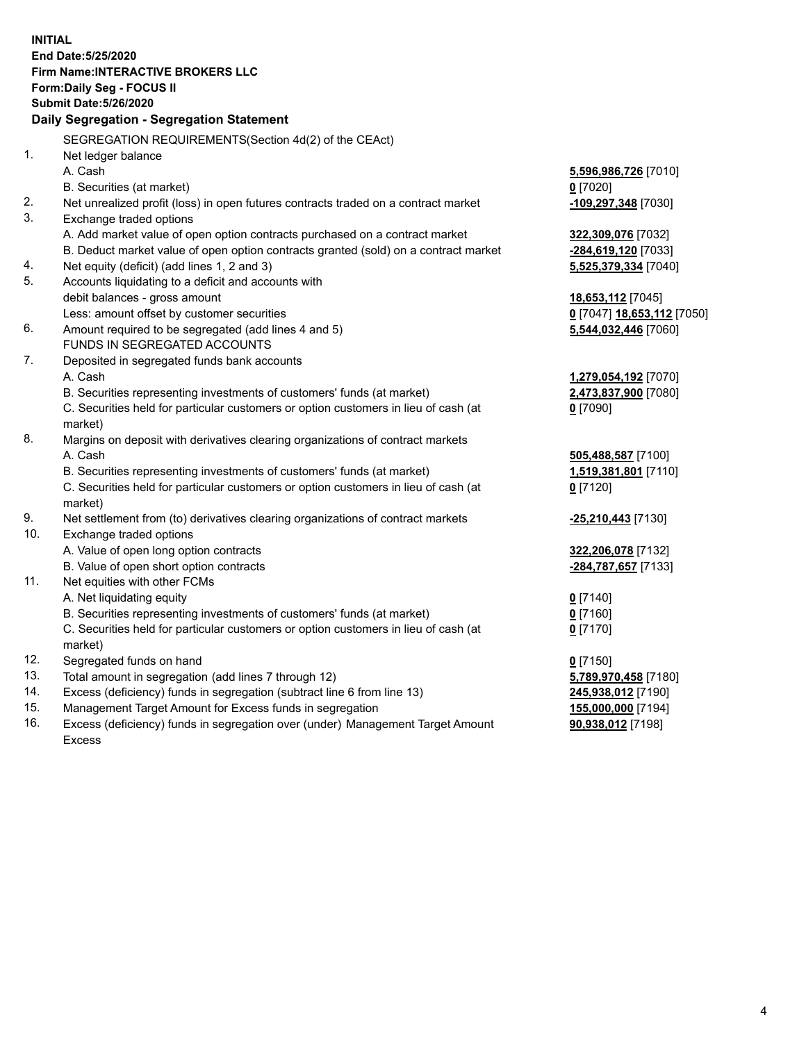**INITIAL End Date:5/25/2020 Firm Name:INTERACTIVE BROKERS LLC Form:Daily Seg - FOCUS II Submit Date:5/26/2020 Daily Segregation - Segregation Statement** SEGREGATION REQUIREMENTS(Section 4d(2) of the CEAct) 1. Net ledger balance A. Cash **5,596,986,726** [7010] B. Securities (at market) **0** [7020] 2. Net unrealized profit (loss) in open futures contracts traded on a contract market **-109,297,348** [7030] 3. Exchange traded options A. Add market value of open option contracts purchased on a contract market **322,309,076** [7032] B. Deduct market value of open option contracts granted (sold) on a contract market **-284,619,120** [7033] 4. Net equity (deficit) (add lines 1, 2 and 3) **5,525,379,334** [7040] 5. Accounts liquidating to a deficit and accounts with debit balances - gross amount **18,653,112** [7045] Less: amount offset by customer securities **0** [7047] **18,653,112** [7050] 6. Amount required to be segregated (add lines 4 and 5) **5,544,032,446** [7060] FUNDS IN SEGREGATED ACCOUNTS 7. Deposited in segregated funds bank accounts A. Cash **1,279,054,192** [7070] B. Securities representing investments of customers' funds (at market) **2,473,837,900** [7080] C. Securities held for particular customers or option customers in lieu of cash (at market) **0** [7090] 8. Margins on deposit with derivatives clearing organizations of contract markets A. Cash **505,488,587** [7100] B. Securities representing investments of customers' funds (at market) **1,519,381,801** [7110] C. Securities held for particular customers or option customers in lieu of cash (at market) **0** [7120] 9. Net settlement from (to) derivatives clearing organizations of contract markets **-25,210,443** [7130] 10. Exchange traded options A. Value of open long option contracts **322,206,078** [7132] B. Value of open short option contracts **-284,787,657** [7133] 11. Net equities with other FCMs A. Net liquidating equity **0** [7140] B. Securities representing investments of customers' funds (at market) **0** [7160] C. Securities held for particular customers or option customers in lieu of cash (at market) **0** [7170] 12. Segregated funds on hand **0** [7150] 13. Total amount in segregation (add lines 7 through 12) **5,789,970,458** [7180] 14. Excess (deficiency) funds in segregation (subtract line 6 from line 13) **245,938,012** [7190] 15. Management Target Amount for Excess funds in segregation **155,000,000** [7194] 16. Excess (deficiency) funds in segregation over (under) Management Target Amount **90,938,012** [7198]

Excess